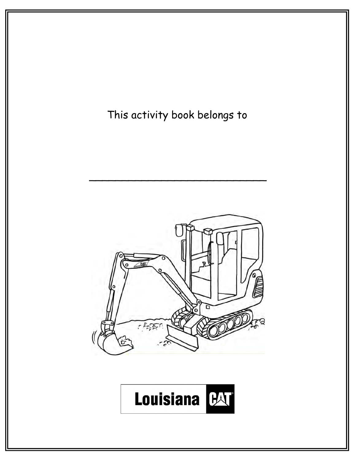This activity book belongs to  $\sim$  . The contribution of the contribution of the contribution of the contribution of the contribution of the contribution of the contribution of the contribution of the contribution of the contribution of the contributi a  $-25.5$ **Louisiana** BAT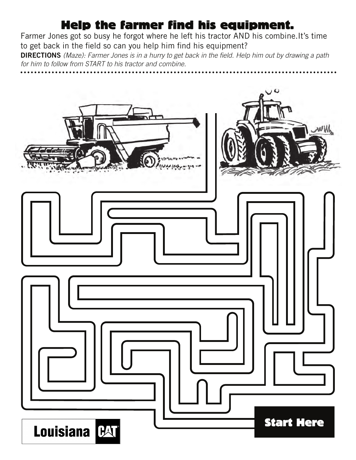#### Help the farmer find his equipment.

Farmer Jones got so busy he forgot where he left his tractor AND his combine.It's time to get back in the field so can you help him find his equipment?

**DIRECTIONS** *(Maze): Farmer Jones is in a hurry to get back in the field. Help him out by drawing a path for him to follow from START to his tractor and combine.*

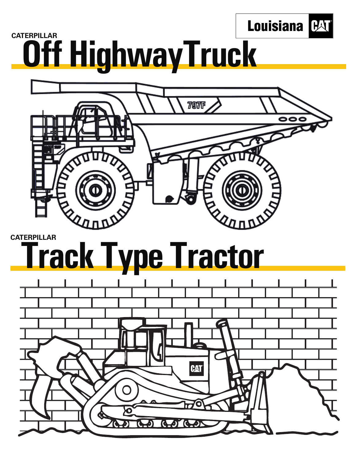

# **CATERPILLAR Off HighwayTruck**



#### **CATERPILLAR Track Type Tractor**

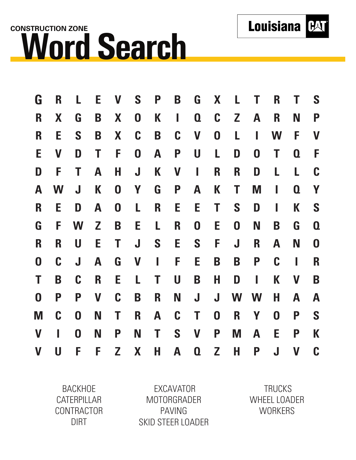## **CONSTRUCTION ZONE Word Search**

| G                | R                         |                  | E | V                | S                         | P | B           | G                | X                | L                |             | R                | Т                         | S                |
|------------------|---------------------------|------------------|---|------------------|---------------------------|---|-------------|------------------|------------------|------------------|-------------|------------------|---------------------------|------------------|
| R                | X                         | G                | B | X                | $\boldsymbol{0}$          | K | I           | $\boldsymbol{0}$ | C                | Z                | A           | R                | N                         | P                |
| R                | E                         | S                | B | X                | $\mathbf C$               | B | C           | V                | $\boldsymbol{0}$ | L                | I           | W                | F                         | $\mathbf V$      |
| E                | $\boldsymbol{\mathsf{V}}$ | D                | Τ | F                | $\boldsymbol{0}$          | A | P           | U                | L                | D                | 0           | Τ                | $\boldsymbol{0}$          | F                |
| D                | F                         | Т                | A | H                | $\mathbf J$               | K | V           | I                | R                | R                | D           | L                | L                         | C                |
| A                | W                         | J                | K | $\boldsymbol{0}$ | Y                         | G | P           | A                | K                | Τ                | M           |                  | $\boldsymbol{0}$          | Y                |
| R                | Е                         | D                | A | $\boldsymbol{0}$ | L                         | R | E           | Е                | Τ                | S                | D           | I                | Κ                         | S                |
| G                | F                         | W                | Z | B                | Е                         | L | R           | $\boldsymbol{0}$ | E                | $\boldsymbol{0}$ | N           | B                | G                         | $\boldsymbol{0}$ |
| R                | R                         | U                | Е | Т                | J                         | S | E           | S                | F                | J                | $\mathbf R$ | A                | N                         | $\boldsymbol{0}$ |
| $\boldsymbol{0}$ | C                         | J                | A | G                | $\boldsymbol{\mathsf{V}}$ | I | F           | E                | B                | B                | P           | $\mathbf C$      | I                         | R                |
| Τ                | B                         | $\mathbf C$      | R | Е                | L                         | Τ | U           | B                | Н                | D                | ı           | K                | $\boldsymbol{\mathsf{V}}$ | B                |
| $\boldsymbol{0}$ | P                         | P                | V | C                | B                         | R | N           | J                | J                | W                | W           | Н                | A                         | A                |
| M                | $\mathbf C$               | $\boldsymbol{0}$ | N | Τ                | R                         | A | $\mathbf C$ | Τ                | $\boldsymbol{0}$ | R                | Y           | $\boldsymbol{0}$ | P                         | S                |
| V                |                           | $\boldsymbol{0}$ | N | P                | N                         | Τ | S           | V                | P                | M                | A           | E                | P                         | K                |
| V                | U                         | F                | F | Z                | X                         | H | A           | $\boldsymbol{0}$ | Z                | Н                | P           | J                | V                         | C                |

BACKHOE CATERPILLAR CONTRACTOR DIRT

EXCAVATOR MOTORGRADER PAVING SKID STEER LOADER

**TRUCKS** WHEEL LOADER **WORKERS** 

**Louisiana [HA]**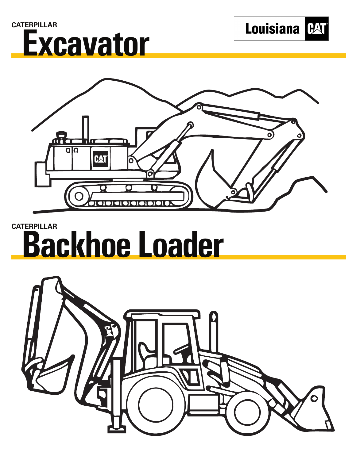





#### **CATERPILLAR Backhoe Loader**

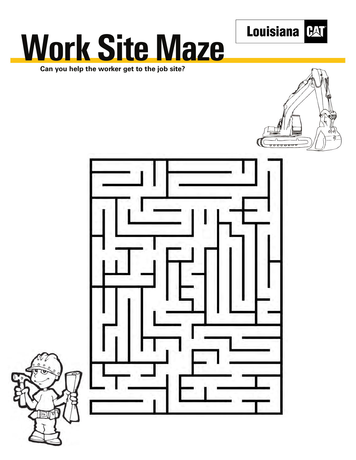

# **Work Site Maze**

**Can you help the worker get to the job site?**